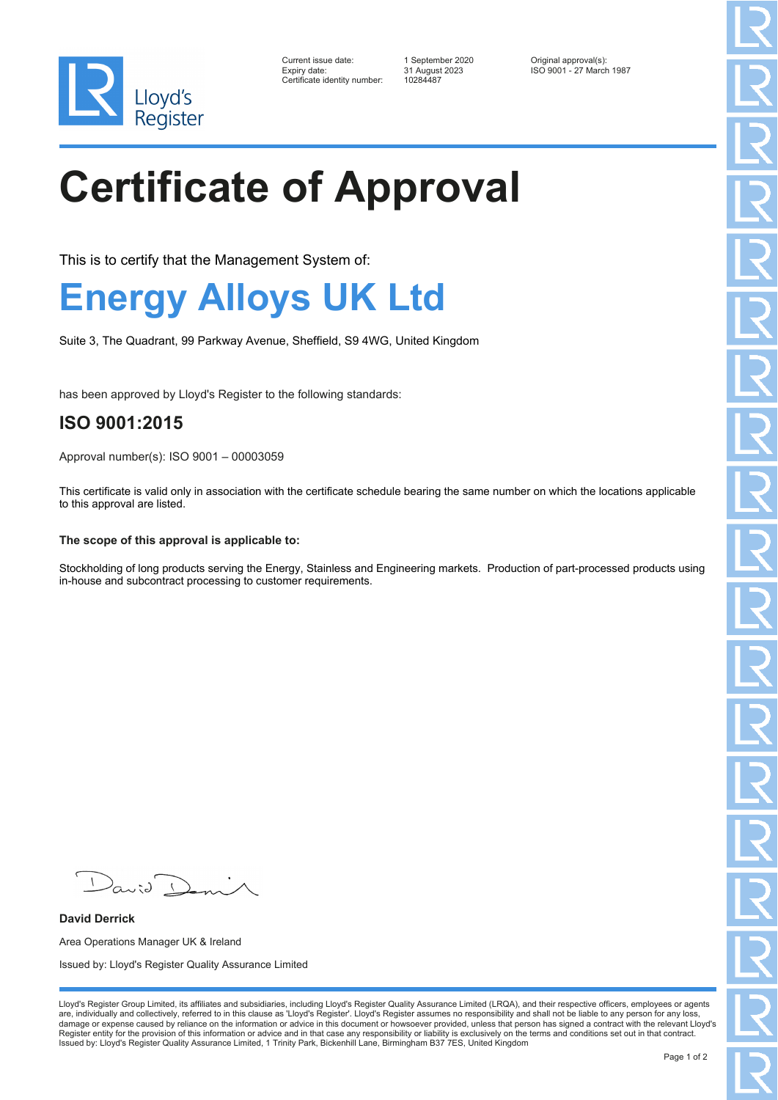

| Current issue date:          | 1 September 2020 | Original approval(s):    |
|------------------------------|------------------|--------------------------|
| Expiry date:                 | 31 August 2023   | ISO 9001 - 27 March 1987 |
| Certificate identity number: | 10284487         |                          |

# **Certificate of Approval**

This is to certify that the Management System of:

### **Energy Alloys UK Ltd**

Suite 3, The Quadrant, 99 Parkway Avenue, Sheffield, S9 4WG, United Kingdom

has been approved by Lloyd's Register to the following standards:

### **ISO 9001:2015**

Approval number(s): ISO 9001 – 00003059

This certificate is valid only in association with the certificate schedule bearing the same number on which the locations applicable to this approval are listed.

#### **The scope of this approval is applicable to:**

Stockholding of long products serving the Energy, Stainless and Engineering markets. Production of part-processed products using in-house and subcontract processing to customer requirements.

 $\mathcal{L}$ 

**David Derrick** Area Operations Manager UK & Ireland Issued by: Lloyd's Register Quality Assurance Limited

Lloyd's Register Group Limited, its affiliates and subsidiaries, including Lloyd's Register Quality Assurance Limited (LRQA), and their respective officers, employees or agents are, individually and collectively, referred to in this clause as 'Lloyd's Register'. Lloyd's Register assumes no responsibility and shall not be liable to any person for any loss,<br>damage or expense caused by reliance on t Register entity for the provision of this information or advice and in that case any responsibility or liability is exclusively on the terms and conditions set out in that contract. Issued by: Lloyd's Register Quality Assurance Limited, 1 Trinity Park, Bickenhill Lane, Birmingham B37 7ES, United Kingdom